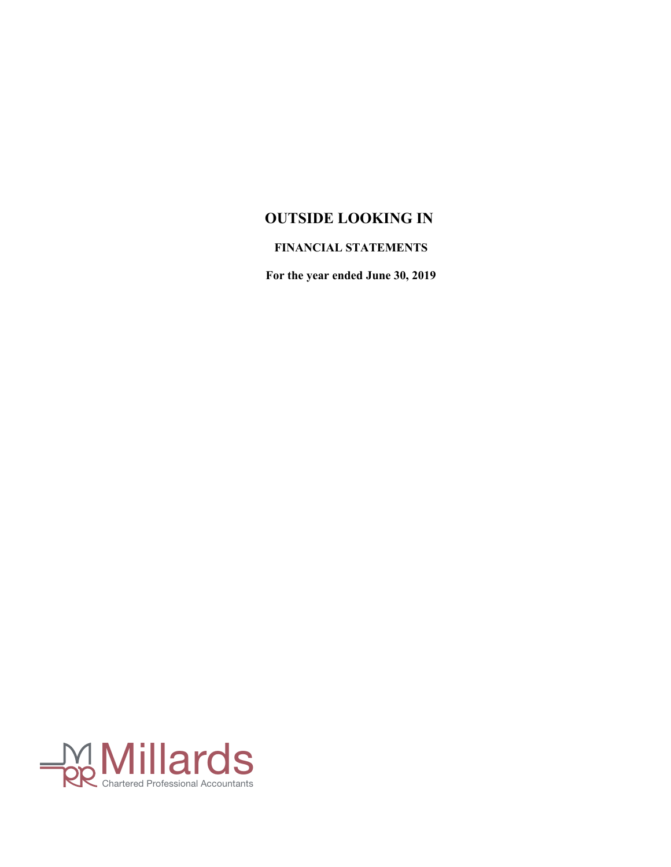### **FINANCIAL STATEMENTS**

**For the year ended June 30, 2019**

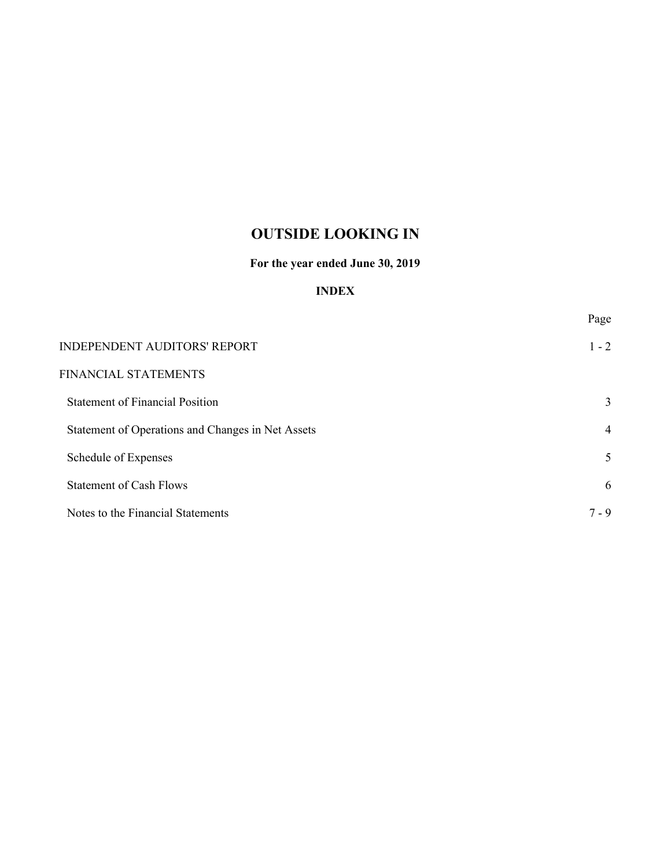## **For the year ended June 30, 2019**

### **INDEX**

|                                                   | Page           |
|---------------------------------------------------|----------------|
| <b>INDEPENDENT AUDITORS' REPORT</b>               | $1 - 2$        |
| FINANCIAL STATEMENTS                              |                |
| <b>Statement of Financial Position</b>            | 3              |
| Statement of Operations and Changes in Net Assets | $\overline{4}$ |
| Schedule of Expenses                              | 5              |
| <b>Statement of Cash Flows</b>                    | 6              |
| Notes to the Financial Statements                 | $7 - 9$        |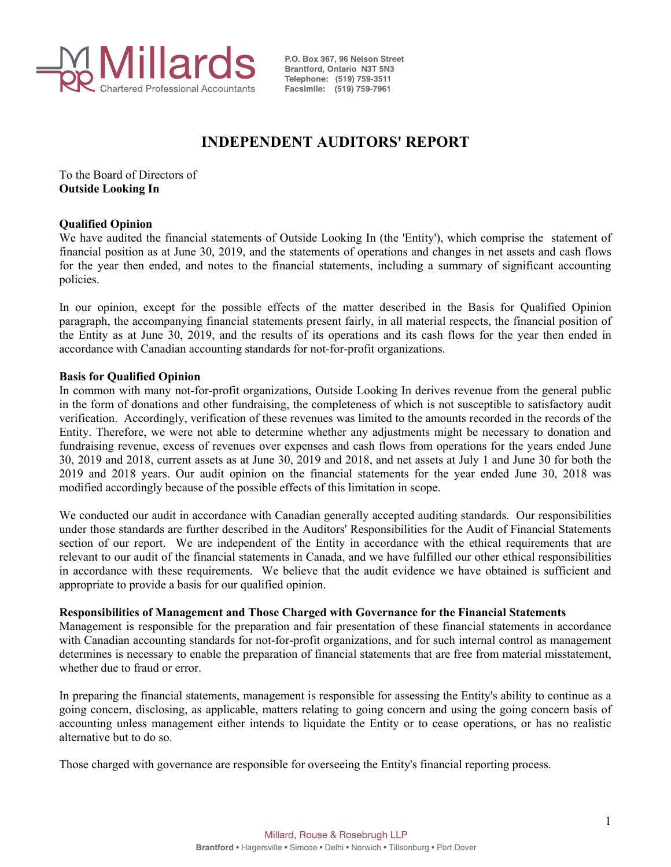

P.O. Box 367, 96 Nelson Street Brantford, Ontario N3T 5N3 Telephone: (519) 759-3511 Facsimile: (519) 759-7961

# **INDEPENDENT AUDITORS' REPORT**

To the Board of Directors of **Outside Looking In**

### **Qualified Opinion**

We have audited the financial statements of Outside Looking In (the 'Entity'), which comprise the statement of financial position as at June 30, 2019, and the statements of operations and changes in net assets and cash flows for the year then ended, and notes to the financial statements, including a summary of significant accounting policies.

In our opinion, except for the possible effects of the matter described in the Basis for Qualified Opinion paragraph, the accompanying financial statements present fairly, in all material respects, the financial position of the Entity as at June 30, 2019, and the results of its operations and its cash flows for the year then ended in accordance with Canadian accounting standards for not-for-profit organizations.

#### **Basis for Qualified Opinion**

In common with many not-for-profit organizations, Outside Looking In derives revenue from the general public in the form of donations and other fundraising, the completeness of which is not susceptible to satisfactory audit verification. Accordingly, verification of these revenues was limited to the amounts recorded in the records of the Entity. Therefore, we were not able to determine whether any adjustments might be necessary to donation and fundraising revenue, excess of revenues over expenses and cash flows from operations for the years ended June 30, 2019 and 2018, current assets as at June 30, 2019 and 2018, and net assets at July 1 and June 30 for both the 2019 and 2018 years. Our audit opinion on the financial statements for the year ended June 30, 2018 was modified accordingly because of the possible effects of this limitation in scope.

We conducted our audit in accordance with Canadian generally accepted auditing standards. Our responsibilities under those standards are further described in the Auditors' Responsibilities for the Audit of Financial Statements section of our report. We are independent of the Entity in accordance with the ethical requirements that are relevant to our audit of the financial statements in Canada, and we have fulfilled our other ethical responsibilities in accordance with these requirements. We believe that the audit evidence we have obtained is sufficient and appropriate to provide a basis for our qualified opinion.

#### **Responsibilities of Management and Those Charged with Governance for the Financial Statements**

Management is responsible for the preparation and fair presentation of these financial statements in accordance with Canadian accounting standards for not-for-profit organizations, and for such internal control as management determines is necessary to enable the preparation of financial statements that are free from material misstatement, whether due to fraud or error.

In preparing the financial statements, management is responsible for assessing the Entity's ability to continue as a going concern, disclosing, as applicable, matters relating to going concern and using the going concern basis of accounting unless management either intends to liquidate the Entity or to cease operations, or has no realistic alternative but to do so.

Those charged with governance are responsible for overseeing the Entity's financial reporting process.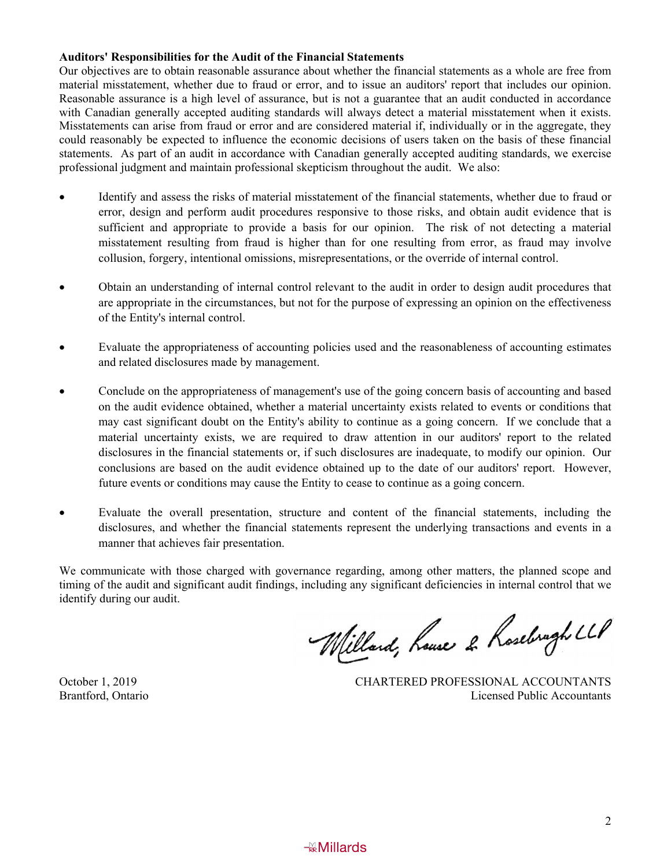#### **Auditors' Responsibilities for the Audit of the Financial Statements**

Our objectives are to obtain reasonable assurance about whether the financial statements as a whole are free from material misstatement, whether due to fraud or error, and to issue an auditors' report that includes our opinion. Reasonable assurance is a high level of assurance, but is not a guarantee that an audit conducted in accordance with Canadian generally accepted auditing standards will always detect a material misstatement when it exists. Misstatements can arise from fraud or error and are considered material if, individually or in the aggregate, they could reasonably be expected to influence the economic decisions of users taken on the basis of these financial statements. As part of an audit in accordance with Canadian generally accepted auditing standards, we exercise professional judgment and maintain professional skepticism throughout the audit. We also:

- Identify and assess the risks of material misstatement of the financial statements, whether due to fraud or error, design and perform audit procedures responsive to those risks, and obtain audit evidence that is sufficient and appropriate to provide a basis for our opinion. The risk of not detecting a material misstatement resulting from fraud is higher than for one resulting from error, as fraud may involve collusion, forgery, intentional omissions, misrepresentations, or the override of internal control.
- x Obtain an understanding of internal control relevant to the audit in order to design audit procedures that are appropriate in the circumstances, but not for the purpose of expressing an opinion on the effectiveness of the Entity's internal control.
- Evaluate the appropriateness of accounting policies used and the reasonableness of accounting estimates and related disclosures made by management.
- Conclude on the appropriateness of management's use of the going concern basis of accounting and based on the audit evidence obtained, whether a material uncertainty exists related to events or conditions that may cast significant doubt on the Entity's ability to continue as a going concern. If we conclude that a material uncertainty exists, we are required to draw attention in our auditors' report to the related disclosures in the financial statements or, if such disclosures are inadequate, to modify our opinion. Our conclusions are based on the audit evidence obtained up to the date of our auditors' report. However, future events or conditions may cause the Entity to cease to continue as a going concern.
- Evaluate the overall presentation, structure and content of the financial statements, including the disclosures, and whether the financial statements represent the underlying transactions and events in a manner that achieves fair presentation.

We communicate with those charged with governance regarding, among other matters, the planned scope and timing of the audit and significant audit findings, including any significant deficiencies in internal control that we identify during our audit.

Willard, house 2 Roseburgh LLP

October 1, 2019 CHARTERED PROFESSIONAL ACCOUNTANTS Brantford, Ontario Licensed Public Accountants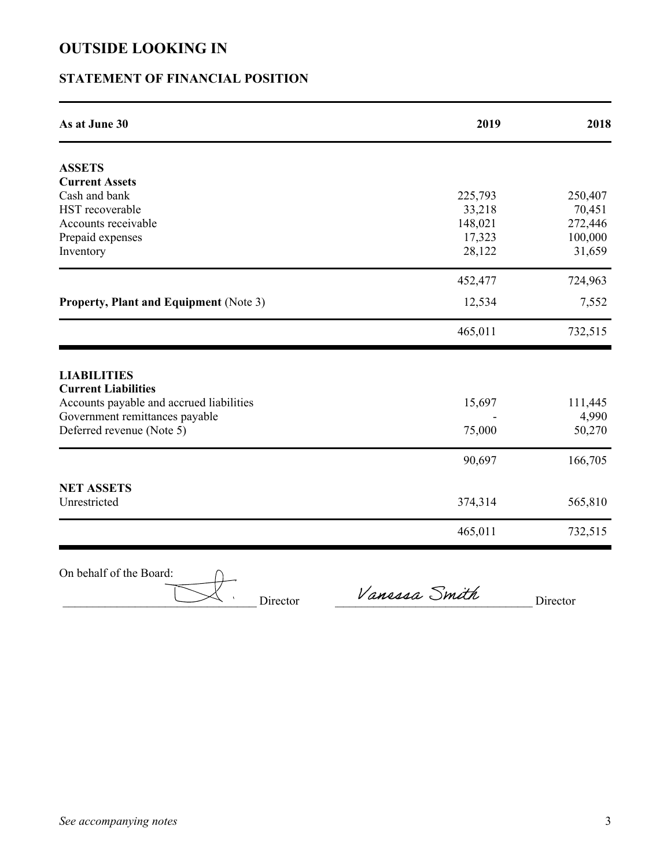## **STATEMENT OF FINANCIAL POSITION**

| As at June 30                                               | 2019    | 2018             |
|-------------------------------------------------------------|---------|------------------|
| <b>ASSETS</b>                                               |         |                  |
| <b>Current Assets</b>                                       |         |                  |
| Cash and bank                                               | 225,793 | 250,407          |
| HST recoverable                                             | 33,218  | 70,451           |
| Accounts receivable                                         | 148,021 | 272,446          |
| Prepaid expenses                                            | 17,323  | 100,000          |
| Inventory                                                   | 28,122  | 31,659           |
|                                                             | 452,477 | 724,963          |
| <b>Property, Plant and Equipment (Note 3)</b>               | 12,534  | 7,552            |
|                                                             | 465,011 | 732,515          |
| <b>LIABILITIES</b>                                          |         |                  |
| <b>Current Liabilities</b>                                  |         |                  |
| Accounts payable and accrued liabilities                    | 15,697  | 111,445<br>4,990 |
| Government remittances payable<br>Deferred revenue (Note 5) | 75,000  | 50,270           |
|                                                             | 90,697  | 166,705          |
|                                                             |         |                  |
| <b>NET ASSETS</b><br>Unrestricted                           | 374,314 | 565,810          |
|                                                             | 465,011 | 732,515          |
|                                                             |         |                  |

On behalf of the Board:

Director Vanessa Smith Director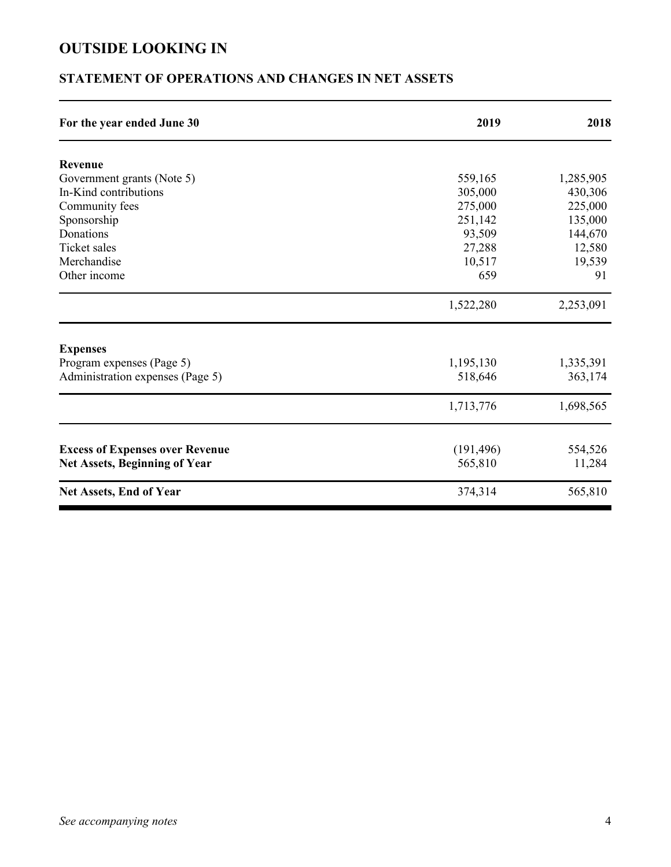## **STATEMENT OF OPERATIONS AND CHANGES IN NET ASSETS**

| For the year ended June 30             | 2019       | 2018      |
|----------------------------------------|------------|-----------|
| Revenue                                |            |           |
| Government grants (Note 5)             | 559,165    | 1,285,905 |
| In-Kind contributions                  | 305,000    | 430,306   |
| Community fees                         | 275,000    | 225,000   |
| Sponsorship                            | 251,142    | 135,000   |
| Donations                              | 93,509     | 144,670   |
| <b>Ticket</b> sales                    | 27,288     | 12,580    |
| Merchandise                            | 10,517     | 19,539    |
| Other income                           | 659        | 91        |
|                                        | 1,522,280  | 2,253,091 |
| <b>Expenses</b>                        |            |           |
| Program expenses (Page 5)              | 1,195,130  | 1,335,391 |
| Administration expenses (Page 5)       | 518,646    | 363,174   |
|                                        | 1,713,776  | 1,698,565 |
| <b>Excess of Expenses over Revenue</b> | (191, 496) | 554,526   |
| Net Assets, Beginning of Year          | 565,810    | 11,284    |
| Net Assets, End of Year                | 374,314    | 565,810   |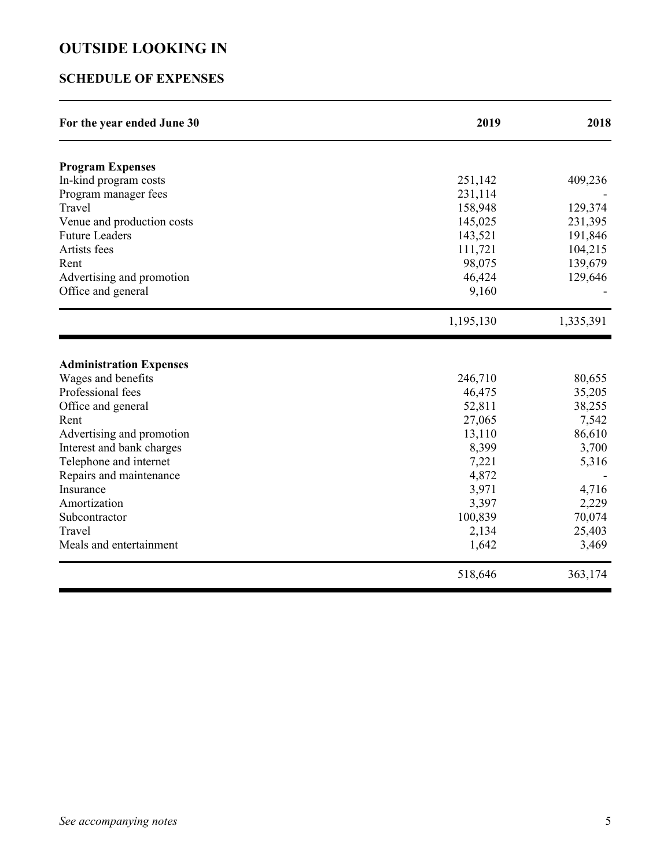## **SCHEDULE OF EXPENSES**

| For the year ended June 30                                                                                                          | 2019      | 2018      |
|-------------------------------------------------------------------------------------------------------------------------------------|-----------|-----------|
| <b>Program Expenses</b><br>In-kind program costs<br>Program manager fees<br>Venue and production costs<br>Advertising and promotion |           |           |
|                                                                                                                                     | 251,142   | 409,236   |
|                                                                                                                                     | 231,114   |           |
| Travel                                                                                                                              | 158,948   | 129,374   |
|                                                                                                                                     | 145,025   | 231,395   |
| <b>Future Leaders</b>                                                                                                               | 143,521   | 191,846   |
| Artists fees                                                                                                                        | 111,721   | 104,215   |
| Rent                                                                                                                                | 98,075    | 139,679   |
|                                                                                                                                     | 46,424    | 129,646   |
| Office and general                                                                                                                  | 9,160     |           |
|                                                                                                                                     | 1,195,130 | 1,335,391 |
| <b>Administration Expenses</b>                                                                                                      |           |           |
| Wages and benefits                                                                                                                  | 246,710   | 80,655    |
| Professional fees                                                                                                                   | 46,475    | 35,205    |
| Office and general                                                                                                                  | 52,811    | 38,255    |
| Rent                                                                                                                                | 27,065    | 7,542     |
| Advertising and promotion                                                                                                           | 13,110    | 86,610    |
| Interest and bank charges                                                                                                           | 8,399     | 3,700     |
| Telephone and internet                                                                                                              | 7,221     | 5,316     |
| Repairs and maintenance                                                                                                             | 4,872     |           |
| Insurance                                                                                                                           | 3,971     | 4,716     |
| Amortization                                                                                                                        | 3,397     | 2,229     |
| Subcontractor                                                                                                                       | 100,839   | 70,074    |
| Travel                                                                                                                              | 2,134     | 25,403    |
| Meals and entertainment                                                                                                             | 1,642     | 3,469     |
|                                                                                                                                     | 518,646   | 363,174   |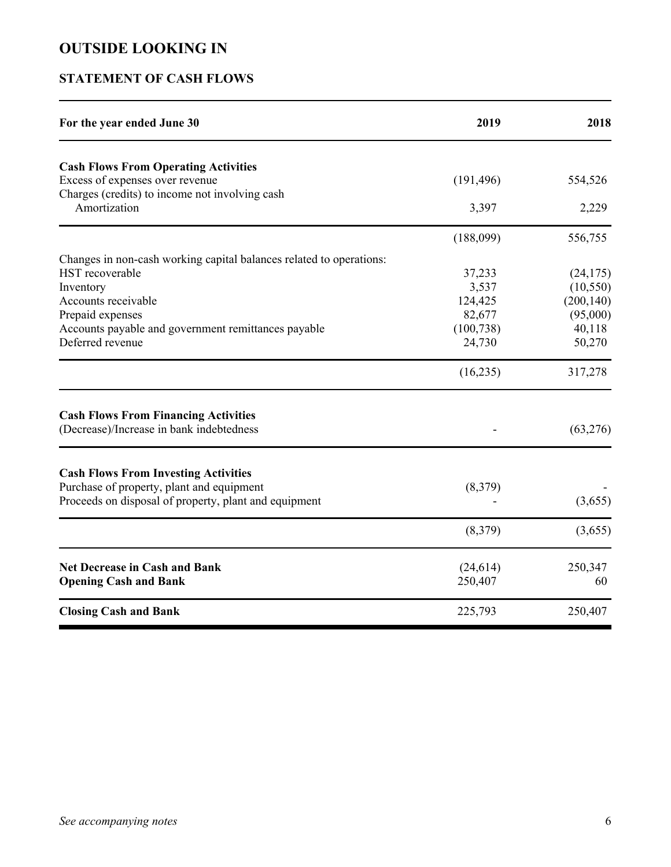### **STATEMENT OF CASH FLOWS**

| For the year ended June 30                                                               | 2019       | 2018       |
|------------------------------------------------------------------------------------------|------------|------------|
| <b>Cash Flows From Operating Activities</b>                                              |            |            |
| Excess of expenses over revenue                                                          | (191, 496) | 554,526    |
| Charges (credits) to income not involving cash<br>Amortization                           | 3,397      | 2,229      |
|                                                                                          | (188,099)  | 556,755    |
| Changes in non-cash working capital balances related to operations:                      |            |            |
| HST recoverable                                                                          | 37,233     | (24, 175)  |
| Inventory                                                                                | 3,537      | (10, 550)  |
| Accounts receivable                                                                      | 124,425    | (200, 140) |
| Prepaid expenses                                                                         | 82,677     | (95,000)   |
| Accounts payable and government remittances payable                                      | (100, 738) | 40,118     |
| Deferred revenue                                                                         | 24,730     | 50,270     |
|                                                                                          | (16,235)   | 317,278    |
| <b>Cash Flows From Financing Activities</b>                                              |            |            |
| (Decrease)/Increase in bank indebtedness                                                 |            | (63,276)   |
|                                                                                          |            |            |
| <b>Cash Flows From Investing Activities</b><br>Purchase of property, plant and equipment |            |            |
| Proceeds on disposal of property, plant and equipment                                    | (8,379)    | (3,655)    |
|                                                                                          | (8,379)    | (3,655)    |
| <b>Net Decrease in Cash and Bank</b>                                                     | (24, 614)  | 250,347    |
| <b>Opening Cash and Bank</b>                                                             | 250,407    | 60         |
| <b>Closing Cash and Bank</b>                                                             | 225,793    | 250,407    |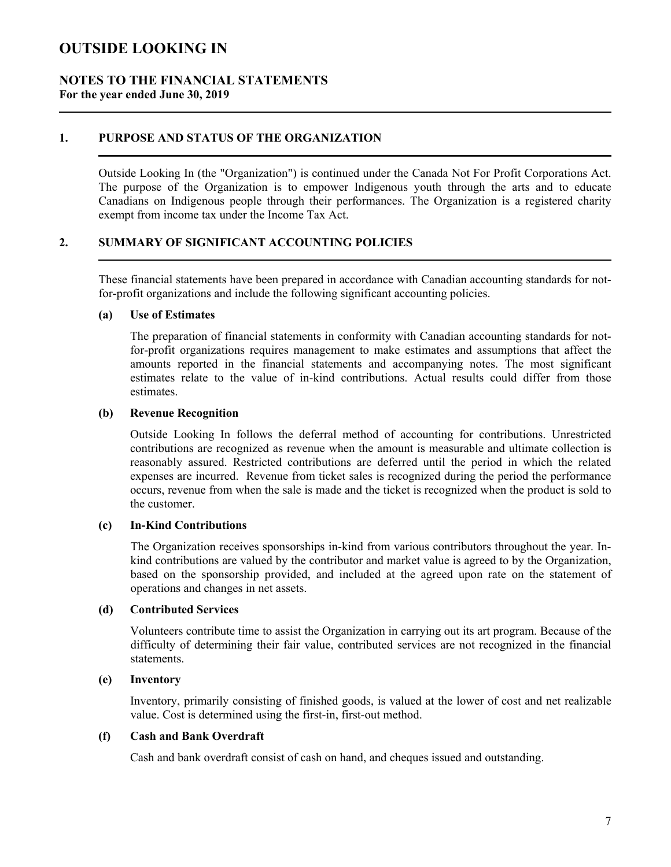#### **NOTES TO THE FINANCIAL STATEMENTS For the year ended June 30, 2019**

#### **1. PURPOSE AND STATUS OF THE ORGANIZATION**

Outside Looking In (the "Organization") is continued under the Canada Not For Profit Corporations Act. The purpose of the Organization is to empower Indigenous youth through the arts and to educate Canadians on Indigenous people through their performances. The Organization is a registered charity exempt from income tax under the Income Tax Act.

### **2. SUMMARY OF SIGNIFICANT ACCOUNTING POLICIES**

These financial statements have been prepared in accordance with Canadian accounting standards for notfor-profit organizations and include the following significant accounting policies.

#### **(a) Use of Estimates**

The preparation of financial statements in conformity with Canadian accounting standards for notfor-profit organizations requires management to make estimates and assumptions that affect the amounts reported in the financial statements and accompanying notes. The most significant estimates relate to the value of in-kind contributions. Actual results could differ from those estimates.

#### **(b) Revenue Recognition**

Outside Looking In follows the deferral method of accounting for contributions. Unrestricted contributions are recognized as revenue when the amount is measurable and ultimate collection is reasonably assured. Restricted contributions are deferred until the period in which the related expenses are incurred. Revenue from ticket sales is recognized during the period the performance occurs, revenue from when the sale is made and the ticket is recognized when the product is sold to the customer.

#### **(c) In-Kind Contributions**

The Organization receives sponsorships in-kind from various contributors throughout the year. Inkind contributions are valued by the contributor and market value is agreed to by the Organization, based on the sponsorship provided, and included at the agreed upon rate on the statement of operations and changes in net assets.

#### **(d) Contributed Services**

Volunteers contribute time to assist the Organization in carrying out its art program. Because of the difficulty of determining their fair value, contributed services are not recognized in the financial statements.

#### **(e) Inventory**

Inventory, primarily consisting of finished goods, is valued at the lower of cost and net realizable value. Cost is determined using the first-in, first-out method.

#### **(f) Cash and Bank Overdraft**

Cash and bank overdraft consist of cash on hand, and cheques issued and outstanding.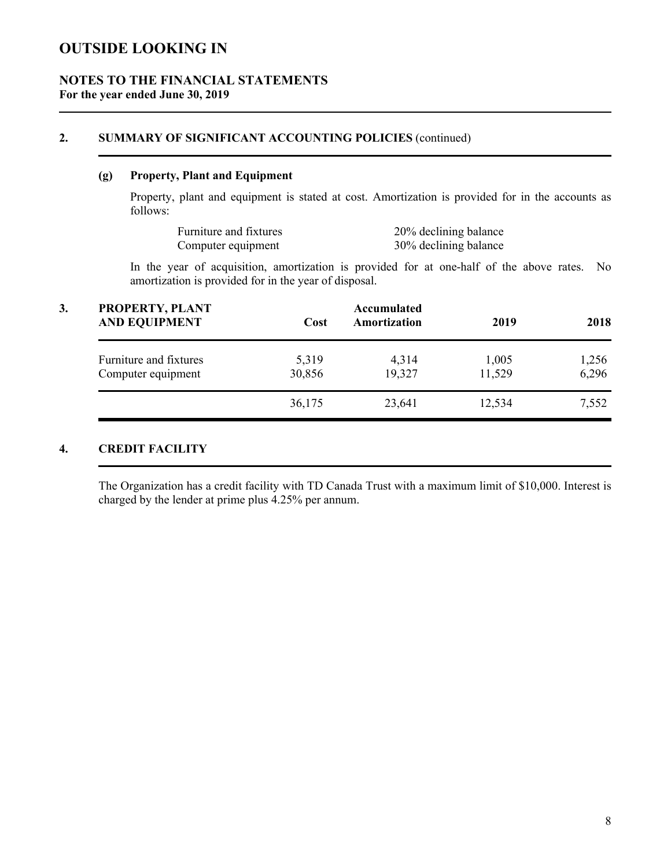### **NOTES TO THE FINANCIAL STATEMENTS For the year ended June 30, 2019**

#### **2. SUMMARY OF SIGNIFICANT ACCOUNTING POLICIES** (continued)

### **(g) Property, Plant and Equipment**

Property, plant and equipment is stated at cost. Amortization is provided for in the accounts as follows:

| Furniture and fixtures | 20% declining balance |
|------------------------|-----------------------|
| Computer equipment     | 30% declining balance |

In the year of acquisition, amortization is provided for at one-half of the above rates. No amortization is provided for in the year of disposal.

| 3. | PROPERTY, PLANT<br><b>AND EQUIPMENT</b>      | Accumulated<br>Amortization<br>2019<br>Cost |                 |                 | 2018           |
|----|----------------------------------------------|---------------------------------------------|-----------------|-----------------|----------------|
|    | Furniture and fixtures<br>Computer equipment | 5,319<br>30,856                             | 4,314<br>19,327 | 1,005<br>11,529 | 1,256<br>6,296 |
|    |                                              | 36,175                                      | 23,641          | 12,534          | 7,552          |

#### **4. CREDIT FACILITY**

The Organization has a credit facility with TD Canada Trust with a maximum limit of \$10,000. Interest is charged by the lender at prime plus 4.25% per annum.